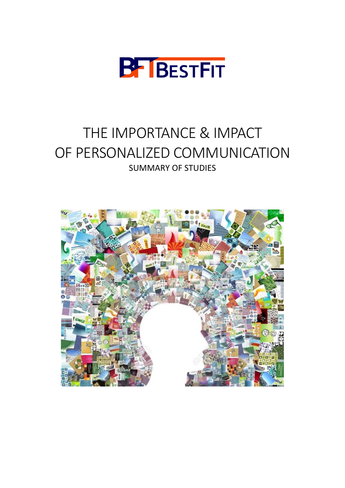

# THE IMPORTANCE & IMPACT OF PERSONALIZED COMMUNICATION SUMMARY OF STUDIES

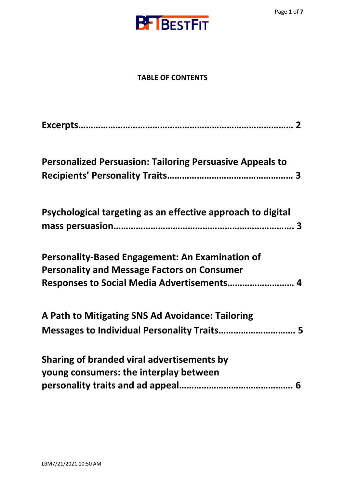

#### **TABLE OF CONTENTS**

| <b>Personalized Persuasion: Tailoring Persuasive Appeals to</b> |  |
|-----------------------------------------------------------------|--|
|                                                                 |  |
| Psychological targeting as an effective approach to digital     |  |
|                                                                 |  |
| <b>Personality-Based Engagement: An Examination of</b>          |  |
| <b>Personality and Message Factors on Consumer</b>              |  |
| Responses to Social Media Advertisements 4                      |  |
| A Path to Mitigating SNS Ad Avoidance: Tailoring                |  |
| Messages to Individual Personality Traits 5                     |  |
| Sharing of branded viral advertisements by                      |  |
| young consumers: the interplay between                          |  |
|                                                                 |  |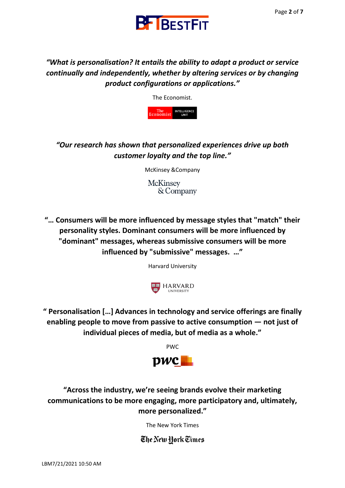



*"What is personalisation? It entails the ability to adapt a product or service continually and independently, whether by altering services or by changing product configurations or applications."*

The Economist.



*"Our research has shown that personalized experiences drive up both customer loyalty and the top line."*

McKinsey &Company

**McKinsey** & Company

**"… Consumers will be more influenced by message styles that "match" their personality styles. Dominant consumers will be more influenced by "dominant" messages, whereas submissive consumers will be more influenced by "submissive" messages. …"** 

Harvard University



**" Personalisation […] Advances in technology and service offerings are finally enabling people to move from passive to active consumption — not just of individual pieces of media, but of media as a whole."** 

PWC



**"Across the industry, we're seeing brands evolve their marketing communications to be more engaging, more participatory and, ultimately, more personalized."**

The New York Times

The New Hork Times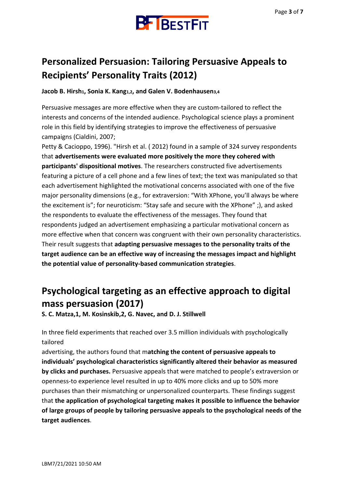

### **Personalized Persuasion: Tailoring Persuasive Appeals to Recipients' Personality Traits (2012)**

**Jacob B. Hirsh1, Sonia K. Kang1,2, and Galen V. Bodenhausen3,4**

Persuasive messages are more effective when they are custom-tailored to reflect the interests and concerns of the intended audience. Psychological science plays a prominent role in this field by identifying strategies to improve the effectiveness of persuasive campaigns (Cialdini, 2007;

Petty & Cacioppo, 1996). "Hirsh et al. ( 2012) found in a sample of 324 survey respondents that **advertisements were evaluated more positively the more they cohered with participants' dispositional motives**. The researchers constructed five advertisements featuring a picture of a cell phone and a few lines of text; the text was manipulated so that each advertisement highlighted the motivational concerns associated with one of the five major personality dimensions (e.g., for extraversion: "With XPhone, you'll always be where the excitement is"; for neuroticism: "Stay safe and secure with the XPhone" ;), and asked the respondents to evaluate the effectiveness of the messages. They found that respondents judged an advertisement emphasizing a particular motivational concern as more effective when that concern was congruent with their own personality characteristics. Their result suggests that **adapting persuasive messages to the personality traits of the target audience can be an effective way of increasing the messages impact and highlight the potential value of personality-based communication strategies**.

#### **Psychological targeting as an effective approach to digital mass persuasion (2017)**

**S. C. Matza,1, M. Kosinskib,2, G. Navec, and D. J. Stillwell**

In three field experiments that reached over 3.5 million individuals with psychologically tailored

advertising, the authors found that m**atching the content of persuasive appeals to individuals' psychological characteristics significantly altered their behavior as measured by clicks and purchases.** Persuasive appeals that were matched to people's extraversion or openness-to experience level resulted in up to 40% more clicks and up to 50% more purchases than their mismatching or unpersonalized counterparts. These findings suggest that **the application of psychological targeting makes it possible to influence the behavior of large groups of people by tailoring persuasive appeals to the psychological needs of the target audiences**.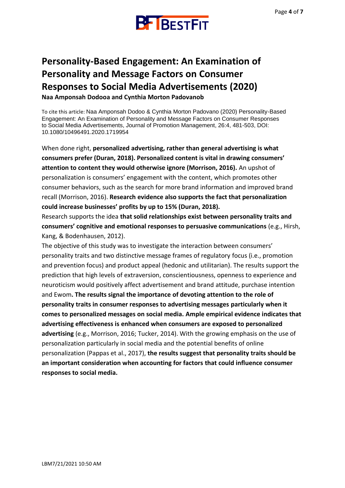

### **Personality-Based Engagement: An Examination of Personality and Message Factors on Consumer Responses to Social Media Advertisements (2020)**

**Naa Amponsah Dodooa and Cynthia Morton Padovanob**

To cite this article: Naa Amponsah Dodoo & Cynthia Morton Padovano (2020) Personality-Based Engagement: An Examination of Personality and Message Factors on Consumer Responses to Social Media Advertisements, Journal of Promotion Management, 26:4, 481-503, DOI: 10.1080/10496491.2020.1719954

When done right, **personalized advertising, rather than general advertising is what consumers prefer (Duran, 2018). Personalized content is vital in drawing consumers' attention to content they would otherwise ignore (Morrison, 2016).** An upshot of personalization is consumers' engagement with the content, which promotes other consumer behaviors, such as the search for more brand information and improved brand recall (Morrison, 2016). **Research evidence also supports the fact that personalization could increase businesses' profits by up to 15% (Duran, 2018).**

Research supports the idea **that solid relationships exist between personality traits and consumers' cognitive and emotional responses to persuasive communications** (e.g., Hirsh, Kang, & Bodenhausen, 2012).

The objective of this study was to investigate the interaction between consumers' personality traits and two distinctive message frames of regulatory focus (i.e., promotion and prevention focus) and product appeal (hedonic and utilitarian). The results support the prediction that high levels of extraversion, conscientiousness, openness to experience and neuroticism would positively affect advertisement and brand attitude, purchase intention and Ewom**. The results signal the importance of devoting attention to the role of personality traits in consumer responses to advertising messages particularly when it comes to personalized messages on social media. Ample empirical evidence indicates that advertising effectiveness is enhanced when consumers are exposed to personalized advertising** (e.g., Morrison, 2016; Tucker, 2014). With the growing emphasis on the use of personalization particularly in social media and the potential benefits of online personalization (Pappas et al., 2017), **the results suggest that personality traits should be an important consideration when accounting for factors that could influence consumer responses to social media.**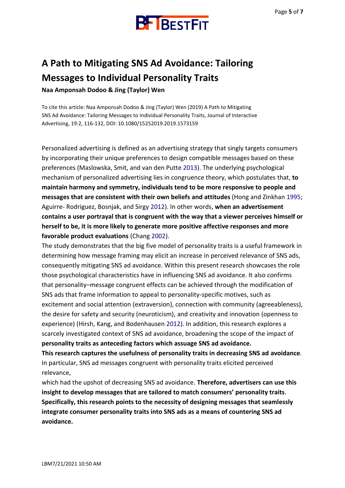

### **A Path to Mitigating SNS Ad Avoidance: Tailoring Messages to Individual Personality Traits**

**Naa Amponsah Dodoo & Jing (Taylor) Wen**

To cite this article: Naa Amponsah Dodoo & Jing (Taylor) Wen (2019) A Path to Mitigating SNS Ad Avoidance: Tailoring Messages to Individual Personality Traits, Journal of Interactive Advertising, 19:2, 116-132, DOI: 10.1080/15252019.2019.1573159

Personalized advertising is defined as an advertising strategy that singly targets consumers by incorporating their unique preferences to design compatible messages based on these preferences (Maslowska, Smit, and van den Putte 2013). The underlying psychological mechanism of personalized advertising lies in congruence theory, which postulates that, **to maintain harmony and symmetry, individuals tend to be more responsive to people and messages that are consistent with their own beliefs and attitudes** (Hong and Zinkhan 1995; Aguirre- Rodriguez, Bosnjak, and Sirgy 2012). In other words, **when an advertisement contains a user portrayal that is congruent with the way that a viewer perceives himself or herself to be, it is more likely to generate more positive affective responses and more favorable product evaluations** (Chang 2002).

The study demonstrates that the big five model of personality traits is a useful framework in determining how message framing may elicit an increase in perceived relevance of SNS ads, consequently mitigating SNS ad avoidance. Within this present research showcases the role those psychological characteristics have in influencing SNS ad avoidance. It also confirms that personality–message congruent effects can be achieved through the modification of SNS ads that frame information to appeal to personality-specific motives, such as excitement and social attention (extraversion), connection with community (agreeableness), the desire for safety and security (neuroticism), and creativity and innovation (openness to experience) (Hirsh, Kang, and Bodenhausen 2012). In addition, this research explores a scarcely investigated context of SNS ad avoidance, broadening the scope of the impact of **personality traits as anteceding factors which assuage SNS ad avoidance.**

**This research captures the usefulness of personality traits in decreasing SNS ad avoidance**. In particular, SNS ad messages congruent with personality traits elicited perceived relevance,

which had the upshot of decreasing SNS ad avoidance. **Therefore, advertisers can use this insight to develop messages that are tailored to match consumers' personality traits**. **Specifically, this research points to the necessity of designing messages that seamlessly integrate consumer personality traits into SNS ads as a means of countering SNS ad avoidance.**